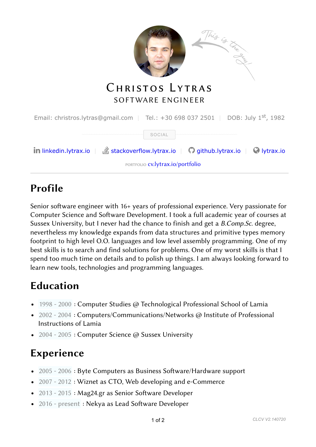

# Profile

Senior software engineer with 16+ years of professional experience. Very passionate for Computer Science and Software Development. I took a full academic year of courses at Sussex University, but I never had the chance to finish and get a B.Comp.Sc. degree, nevertheless my knowledge expands from data structures and primitive types memory footprint to high level O.O. languages and low level assembly programming. One of my best skills is to search and find solutions for problems. One of my worst skills is that I spend too much time on details and to polish up things. I am always looking forward to learn new tools, technologies and programming languages.

## Education

- 1998 2000 : Computer Studies @ Technological Professional School of Lamia
- 2002 2004 : Computers/Communications/Networks @ Institute of Professional Instructions of Lamia
- 2004 2005 : Computer Science @ Sussex University

# Experience

- $\bullet$  2005 2006 : Byte Computers as Business Software/Hardware support
- 2007 2012 : Wiznet as CTO, Web developing and e-Commerce
- $\bullet$  2013 2015 : Mag24.gr as Senior Software Developer
- 2016 present : Nekya as Lead Software Developer